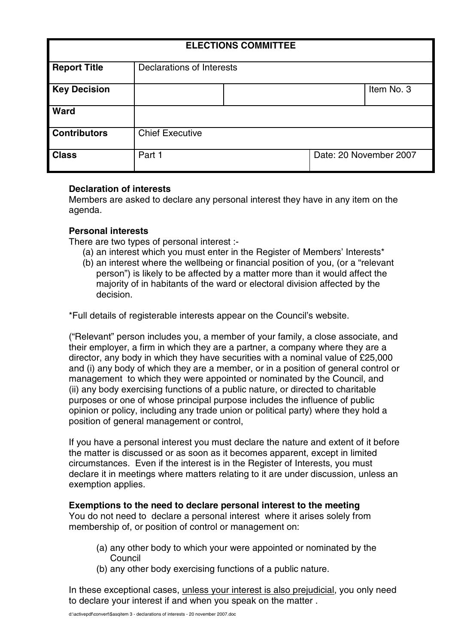| <b>ELECTIONS COMMITTEE</b> |                           |  |                        |            |
|----------------------------|---------------------------|--|------------------------|------------|
| <b>Report Title</b>        | Declarations of Interests |  |                        |            |
| <b>Key Decision</b>        |                           |  |                        | Item No. 3 |
| <b>Ward</b>                |                           |  |                        |            |
| <b>Contributors</b>        | <b>Chief Executive</b>    |  |                        |            |
| <b>Class</b>               | Part 1                    |  | Date: 20 November 2007 |            |

# **Declaration of interests**

Members are asked to declare any personal interest they have in any item on the agenda.

# **Personal interests**

There are two types of personal interest :-

- (a) an interest which you must enter in the Register of Members' Interests\*
- (b) an interest where the wellbeing or financial position of you, (or a "relevant person") is likely to be affected by a matter more than it would affect the majority of in habitants of the ward or electoral division affected by the decision.

\*Full details of registerable interests appear on the Council's website.

("Relevant" person includes you, a member of your family, a close associate, and their employer, a firm in which they are a partner, a company where they are a director, any body in which they have securities with a nominal value of £25,000 and (i) any body of which they are a member, or in a position of general control or management to which they were appointed or nominated by the Council, and (ii) any body exercising functions of a public nature, or directed to charitable purposes or one of whose principal purpose includes the influence of public opinion or policy, including any trade union or political party) where they hold a position of general management or control,

If you have a personal interest you must declare the nature and extent of it before the matter is discussed or as soon as it becomes apparent, except in limited circumstances. Even if the interest is in the Register of Interests, you must declare it in meetings where matters relating to it are under discussion, unless an exemption applies.

### **Exemptions to the need to declare personal interest to the meeting**

You do not need to declare a personal interest where it arises solely from membership of, or position of control or management on:

- (a) any other body to which your were appointed or nominated by the Council
- (b) any other body exercising functions of a public nature.

In these exceptional cases, unless your interest is also prejudicial, you only need to declare your interest if and when you speak on the matter .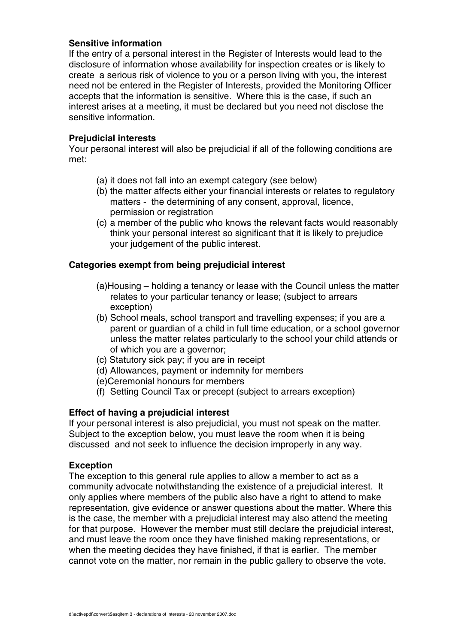# **Sensitive information**

If the entry of a personal interest in the Register of Interests would lead to the disclosure of information whose availability for inspection creates or is likely to create a serious risk of violence to you or a person living with you, the interest need not be entered in the Register of Interests, provided the Monitoring Officer accepts that the information is sensitive. Where this is the case, if such an interest arises at a meeting, it must be declared but you need not disclose the sensitive information.

## **Prejudicial interests**

Your personal interest will also be prejudicial if all of the following conditions are met:

- (a) it does not fall into an exempt category (see below)
- (b) the matter affects either your financial interests or relates to regulatory matters - the determining of any consent, approval, licence, permission or registration
- (c) a member of the public who knows the relevant facts would reasonably think your personal interest so significant that it is likely to prejudice your judgement of the public interest.

# **Categories exempt from being prejudicial interest**

- (a)Housing holding a tenancy or lease with the Council unless the matter relates to your particular tenancy or lease; (subject to arrears exception)
- (b) School meals, school transport and travelling expenses; if you are a parent or guardian of a child in full time education, or a school governor unless the matter relates particularly to the school your child attends or of which you are a governor;
- (c) Statutory sick pay; if you are in receipt
- (d) Allowances, payment or indemnity for members
- (e)Ceremonial honours for members
- (f) Setting Council Tax or precept (subject to arrears exception)

# **Effect of having a prejudicial interest**

If your personal interest is also prejudicial, you must not speak on the matter. Subject to the exception below, you must leave the room when it is being discussed and not seek to influence the decision improperly in any way.

### **Exception**

The exception to this general rule applies to allow a member to act as a community advocate notwithstanding the existence of a prejudicial interest. It only applies where members of the public also have a right to attend to make representation, give evidence or answer questions about the matter. Where this is the case, the member with a prejudicial interest may also attend the meeting for that purpose. However the member must still declare the prejudicial interest, and must leave the room once they have finished making representations, or when the meeting decides they have finished, if that is earlier. The member cannot vote on the matter, nor remain in the public gallery to observe the vote.